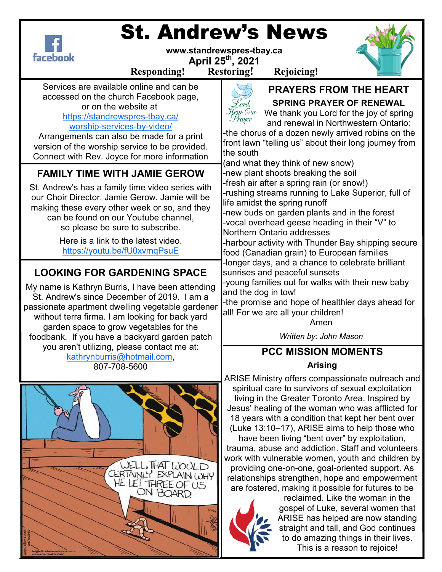

# St. Andrew's News

**www.standrewspres-tbay.ca** 

**April 25th, 2021** 

**Responding! Restoring! Rejoicing!**

Services are available online and can be accessed on the church Facebook page, or on the website at

### https://standrewspres-tbay.ca/ worship-services-by-video/

Arrangements can also be made for a print version of the worship service to be provided. Connect with Rev. Joyce for more information

# **FAMILY TIME WITH JAMIE GEROW**

St. Andrew's has a family time video series with our Choir Director, Jamie Gerow. Jamie will be making these every other week or so, and they can be found on our Youtube channel, so please be sure to subscribe.

> Here is a link to the latest video. https://youtu.be/fU0xvmqPsuE

# **LOOKING FOR GARDENING SPACE**

My name is Kathryn Burris, I have been attending St. Andrew's since December of 2019. I am a passionate apartment dwelling vegetable gardener without terra firma. I am looking for back yard garden space to grow vegetables for the foodbank. If you have a backyard garden patch you aren't utilizing, please contact me at: kathrynburris@hotmail.com, 807-708-5600





**PRAYERS FROM THE HEART** 

Kord. Hegr Our Prayer

# **SPRING PRAYER OF RENEWAL**

We thank you Lord for the joy of spring and renewal in Northwestern Ontario:

-the chorus of a dozen newly arrived robins on the front lawn "telling us" about their long journey from the south

(and what they think of new snow) -new plant shoots breaking the soil -fresh air after a spring rain (or snow!) -rushing streams running to Lake Superior, full of life amidst the spring runoff -new buds on garden plants and in the forest -vocal overhead geese heading in their "V" to

Northern Ontario addresses -harbour activity with Thunder Bay shipping secure food (Canadian grain) to European families

-longer days, and a chance to celebrate brilliant sunrises and peaceful sunsets

-young families out for walks with their new baby and the dog in tow!

-the promise and hope of healthier days ahead for all! For we are all your children!

Amen

*Written by: John Mason*

# **PCC MISSION MOMENTS Arising**

ARISE Ministry offers compassionate outreach and spiritual care to survivors of sexual exploitation living in the Greater Toronto Area. Inspired by Jesus' healing of the woman who was afflicted for 18 years with a condition that kept her bent over (Luke 13:10–17), ARISE aims to help those who have been living "bent over" by exploitation, trauma, abuse and addiction. Staff and volunteers work with vulnerable women, youth and children by providing one-on-one, goal-oriented support. As relationships strengthen, hope and empowerment are fostered, making it possible for futures to be



reclaimed. Like the woman in the gospel of Luke, several women that ARISE has helped are now standing straight and tall, and God continues to do amazing things in their lives. This is a reason to rejoice!